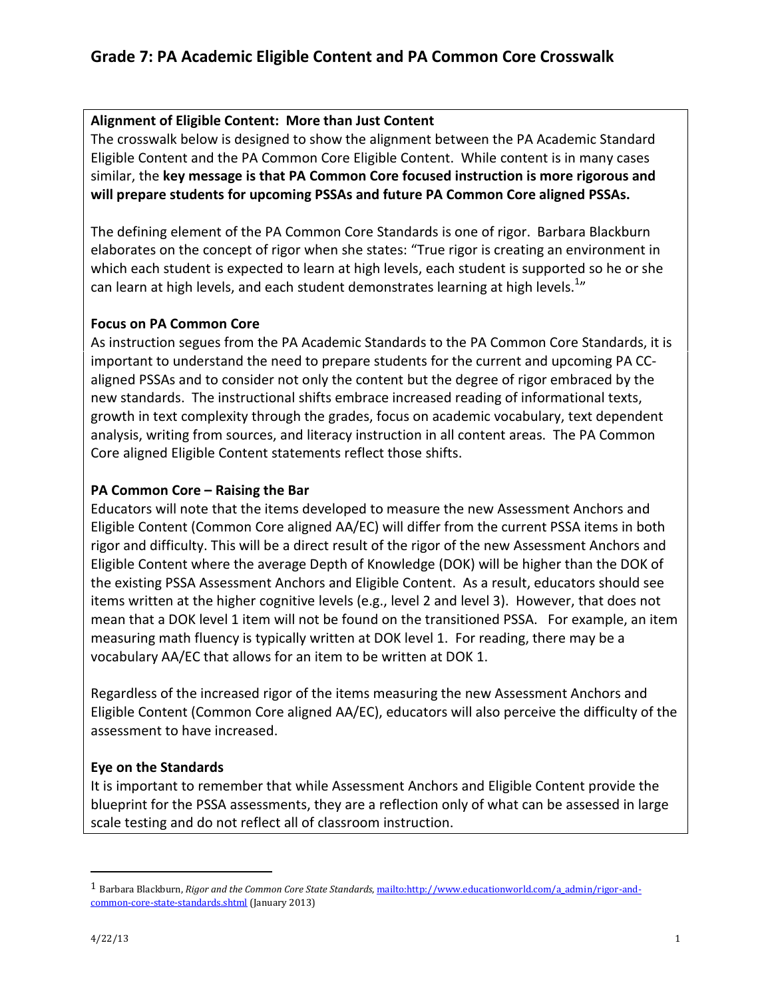### Alignment of Eligible Content: More than Just Content

The crosswalk below is designed to show the alignment between the PA Academic Standard Eligible Content and the PA Common Core Eligible Content. While content is in many cases similar, the key message is that PA Common Core focused instruction is more rigorous and will prepare students for upcoming PSSAs and future PA Common Core aligned PSSAs.

The defining element of the PA Common Core Standards is one of rigor. Barbara Blackburn elaborates on the concept of rigor when she states: "True rigor is creating an environment in which each student is expected to learn at high levels, each student is supported so he or she can learn at high levels, and each student demonstrates learning at high levels. $^{1n}$ 

### Focus on PA Common Core

As instruction segues from the PA Academic Standards to the PA Common Core Standards, it is important to understand the need to prepare students for the current and upcoming PA CCaligned PSSAs and to consider not only the content but the degree of rigor embraced by the new standards. The instructional shifts embrace increased reading of informational texts, growth in text complexity through the grades, focus on academic vocabulary, text dependent analysis, writing from sources, and literacy instruction in all content areas. The PA Common Core aligned Eligible Content statements reflect those shifts.

### PA Common Core – Raising the Bar

Educators will note that the items developed to measure the new Assessment Anchors and Eligible Content (Common Core aligned AA/EC) will differ from the current PSSA items in both rigor and difficulty. This will be a direct result of the rigor of the new Assessment Anchors and Eligible Content where the average Depth of Knowledge (DOK) will be higher than the DOK of the existing PSSA Assessment Anchors and Eligible Content. As a result, educators should see items written at the higher cognitive levels (e.g., level 2 and level 3). However, that does not mean that a DOK level 1 item will not be found on the transitioned PSSA. For example, an item measuring math fluency is typically written at DOK level 1. For reading, there may be a vocabulary AA/EC that allows for an item to be written at DOK 1.

Regardless of the increased rigor of the items measuring the new Assessment Anchors and Eligible Content (Common Core aligned AA/EC), educators will also perceive the difficulty of the assessment to have increased.

### Eye on the Standards

It is important to remember that while Assessment Anchors and Eligible Content provide the blueprint for the PSSA assessments, they are a reflection only of what can be assessed in large scale testing and do not reflect all of classroom instruction.

 $\overline{a}$ 

<sup>&</sup>lt;sup>1</sup> Barbara Blackburn, Rigor and the Common Core State Standards, mailto:http://www.educationworld.com/a\_admin/rigor-andcommon-core-state-standards.shtml (January 2013)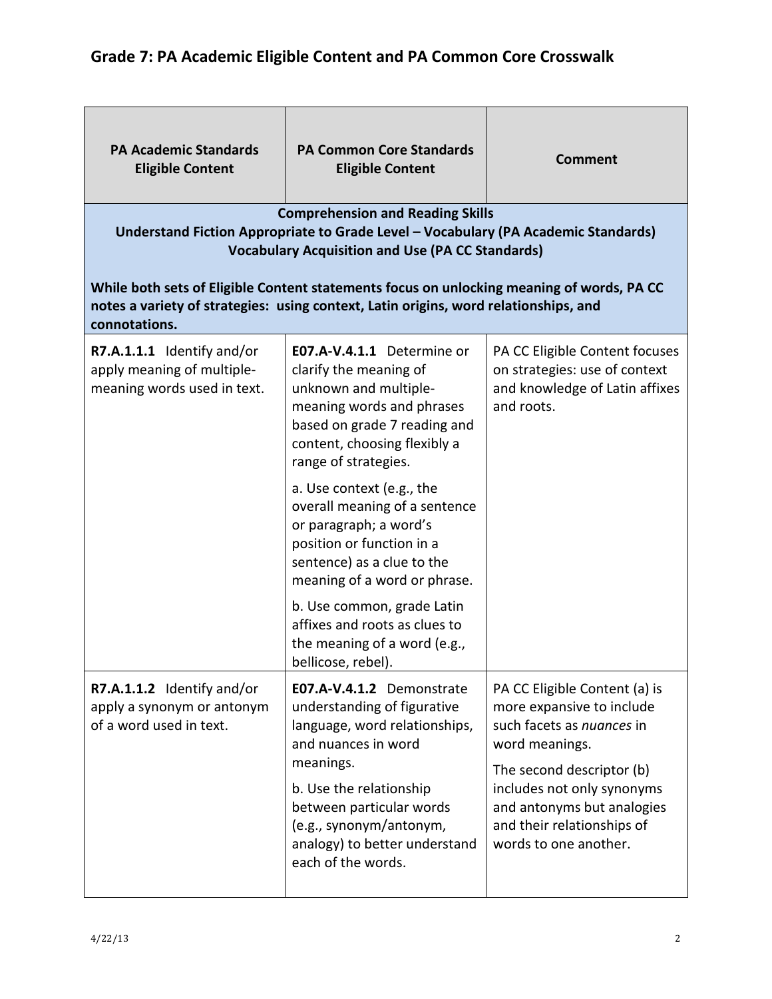| <b>PA Academic Standards</b><br><b>Eligible Content</b>                                                                                                                                                                                                                                                                                                                       | <b>PA Common Core Standards</b><br><b>Eligible Content</b>                                                                                                                                         | <b>Comment</b>                                                                                                                               |
|-------------------------------------------------------------------------------------------------------------------------------------------------------------------------------------------------------------------------------------------------------------------------------------------------------------------------------------------------------------------------------|----------------------------------------------------------------------------------------------------------------------------------------------------------------------------------------------------|----------------------------------------------------------------------------------------------------------------------------------------------|
| <b>Comprehension and Reading Skills</b><br>Understand Fiction Appropriate to Grade Level - Vocabulary (PA Academic Standards)<br><b>Vocabulary Acquisition and Use (PA CC Standards)</b><br>While both sets of Eligible Content statements focus on unlocking meaning of words, PA CC<br>notes a variety of strategies: using context, Latin origins, word relationships, and |                                                                                                                                                                                                    |                                                                                                                                              |
| connotations.<br>R7.A.1.1.1 Identify and/or<br>apply meaning of multiple-<br>meaning words used in text.                                                                                                                                                                                                                                                                      | E07.A-V.4.1.1 Determine or<br>clarify the meaning of<br>unknown and multiple-<br>meaning words and phrases<br>based on grade 7 reading and<br>content, choosing flexibly a<br>range of strategies. | PA CC Eligible Content focuses<br>on strategies: use of context<br>and knowledge of Latin affixes<br>and roots.                              |
|                                                                                                                                                                                                                                                                                                                                                                               | a. Use context (e.g., the<br>overall meaning of a sentence<br>or paragraph; a word's<br>position or function in a<br>sentence) as a clue to the<br>meaning of a word or phrase.                    |                                                                                                                                              |
|                                                                                                                                                                                                                                                                                                                                                                               | b. Use common, grade Latin<br>affixes and roots as clues to<br>the meaning of a word (e.g.,<br>bellicose, rebel).                                                                                  |                                                                                                                                              |
| R7.A.1.1.2 Identify and/or<br>apply a synonym or antonym<br>of a word used in text.                                                                                                                                                                                                                                                                                           | E07.A-V.4.1.2 Demonstrate<br>understanding of figurative<br>language, word relationships,<br>and nuances in word                                                                                   | PA CC Eligible Content (a) is<br>more expansive to include<br>such facets as nuances in<br>word meanings.                                    |
|                                                                                                                                                                                                                                                                                                                                                                               | meanings.<br>b. Use the relationship<br>between particular words<br>(e.g., synonym/antonym,<br>analogy) to better understand<br>each of the words.                                                 | The second descriptor (b)<br>includes not only synonyms<br>and antonyms but analogies<br>and their relationships of<br>words to one another. |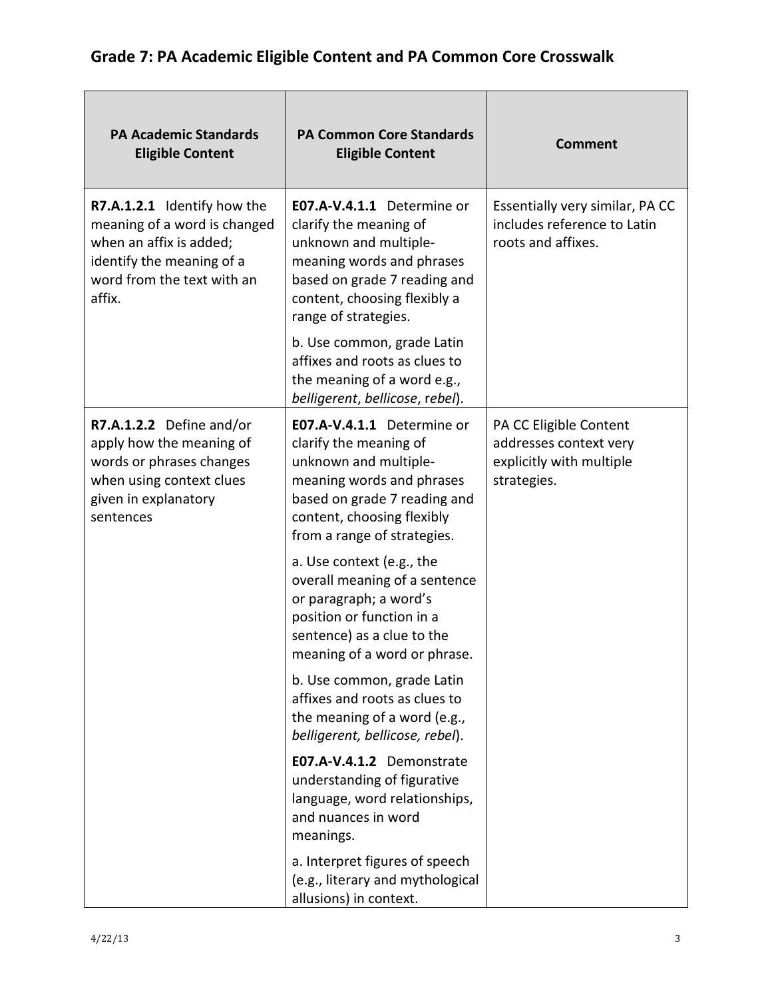| <b>PA Academic Standards</b><br><b>Eligible Content</b>                                                                                                     | <b>PA Common Core Standards</b><br><b>Eligible Content</b>                                                                                                                                              | <b>Comment</b>                                                                              |
|-------------------------------------------------------------------------------------------------------------------------------------------------------------|---------------------------------------------------------------------------------------------------------------------------------------------------------------------------------------------------------|---------------------------------------------------------------------------------------------|
| R7.A.1.2.1 Identify how the<br>meaning of a word is changed<br>when an affix is added;<br>identify the meaning of a<br>word from the text with an<br>affix. | E07.A-V.4.1.1 Determine or<br>clarify the meaning of<br>unknown and multiple-<br>meaning words and phrases<br>based on grade 7 reading and<br>content, choosing flexibly a<br>range of strategies.      | Essentially very similar, PA CC<br>includes reference to Latin<br>roots and affixes.        |
|                                                                                                                                                             | b. Use common, grade Latin<br>affixes and roots as clues to<br>the meaning of a word e.g.,<br>belligerent, bellicose, rebel).                                                                           |                                                                                             |
| R7.A.1.2.2 Define and/or<br>apply how the meaning of<br>words or phrases changes<br>when using context clues<br>given in explanatory<br>sentences           | E07.A-V.4.1.1 Determine or<br>clarify the meaning of<br>unknown and multiple-<br>meaning words and phrases<br>based on grade 7 reading and<br>content, choosing flexibly<br>from a range of strategies. | PA CC Eligible Content<br>addresses context very<br>explicitly with multiple<br>strategies. |
|                                                                                                                                                             | a. Use context (e.g., the<br>overall meaning of a sentence<br>or paragraph; a word's<br>position or function in a<br>sentence) as a clue to the<br>meaning of a word or phrase.                         |                                                                                             |
|                                                                                                                                                             | b. Use common, grade Latin<br>affixes and roots as clues to<br>the meaning of a word (e.g.,<br>belligerent, bellicose, rebel).                                                                          |                                                                                             |
|                                                                                                                                                             | E07.A-V.4.1.2 Demonstrate<br>understanding of figurative<br>language, word relationships,<br>and nuances in word<br>meanings.                                                                           |                                                                                             |
|                                                                                                                                                             | a. Interpret figures of speech<br>(e.g., literary and mythological<br>allusions) in context.                                                                                                            |                                                                                             |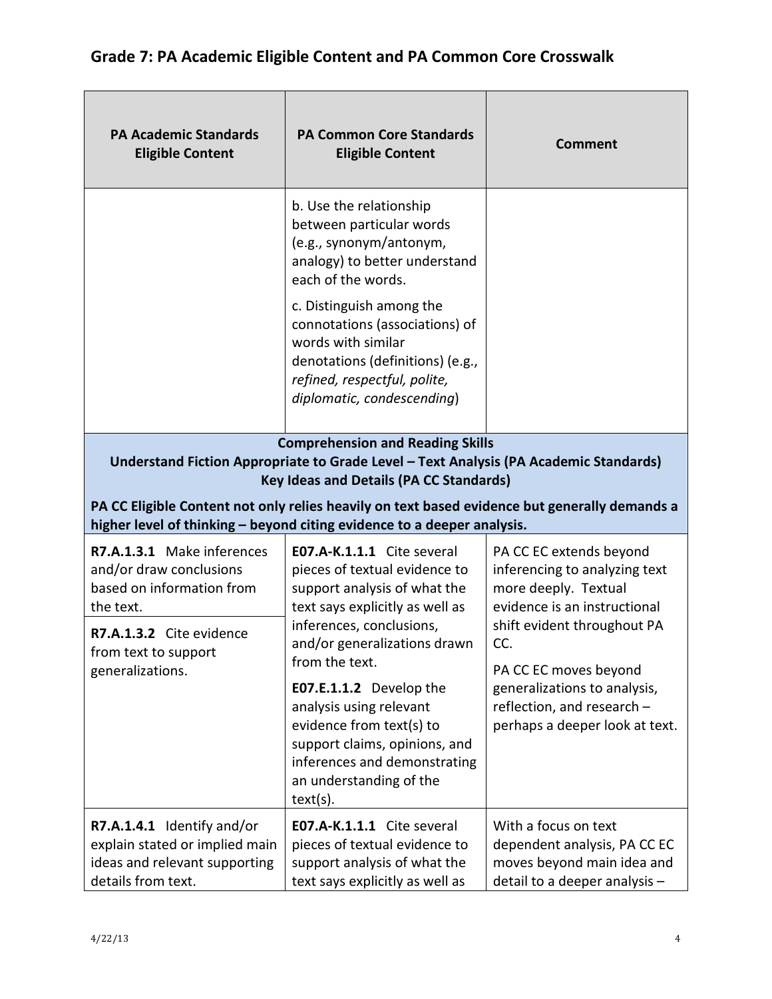| <b>PA Academic Standards</b><br><b>Eligible Content</b>                                                                                                                                                                                                                                                                                                        | <b>PA Common Core Standards</b><br><b>Eligible Content</b>                                                                                                                                                                                                                                                                  | <b>Comment</b>                                                                                                                                                                  |
|----------------------------------------------------------------------------------------------------------------------------------------------------------------------------------------------------------------------------------------------------------------------------------------------------------------------------------------------------------------|-----------------------------------------------------------------------------------------------------------------------------------------------------------------------------------------------------------------------------------------------------------------------------------------------------------------------------|---------------------------------------------------------------------------------------------------------------------------------------------------------------------------------|
|                                                                                                                                                                                                                                                                                                                                                                | b. Use the relationship<br>between particular words<br>(e.g., synonym/antonym,<br>analogy) to better understand<br>each of the words.<br>c. Distinguish among the<br>connotations (associations) of<br>words with similar<br>denotations (definitions) (e.g.,<br>refined, respectful, polite,<br>diplomatic, condescending) |                                                                                                                                                                                 |
| <b>Comprehension and Reading Skills</b><br>Understand Fiction Appropriate to Grade Level - Text Analysis (PA Academic Standards)<br><b>Key Ideas and Details (PA CC Standards)</b><br>PA CC Eligible Content not only relies heavily on text based evidence but generally demands a<br>higher level of thinking - beyond citing evidence to a deeper analysis. |                                                                                                                                                                                                                                                                                                                             |                                                                                                                                                                                 |
| R7.A.1.3.1 Make inferences<br>and/or draw conclusions<br>based on information from<br>the text.<br>R7.A.1.3.2 Cite evidence<br>from text to support<br>generalizations.                                                                                                                                                                                        | E07.A-K.1.1.1 Cite several<br>pieces of textual evidence to<br>support analysis of what the<br>text says explicitly as well as<br>inferences, conclusions,<br>and/or generalizations drawn<br>from the text.                                                                                                                | PA CC EC extends beyond<br>inferencing to analyzing text<br>more deeply. Textual<br>evidence is an instructional<br>shift evident throughout PA<br>CC.<br>PA CC EC moves beyond |
|                                                                                                                                                                                                                                                                                                                                                                | E07.E.1.1.2 Develop the<br>analysis using relevant<br>evidence from text(s) to<br>support claims, opinions, and<br>inferences and demonstrating<br>an understanding of the<br>text(s).                                                                                                                                      | generalizations to analysis,<br>reflection, and research -<br>perhaps a deeper look at text.                                                                                    |
| R7.A.1.4.1 Identify and/or<br>explain stated or implied main<br>ideas and relevant supporting<br>details from text.                                                                                                                                                                                                                                            | E07.A-K.1.1.1 Cite several<br>pieces of textual evidence to<br>support analysis of what the<br>text says explicitly as well as                                                                                                                                                                                              | With a focus on text<br>dependent analysis, PA CC EC<br>moves beyond main idea and<br>detail to a deeper analysis -                                                             |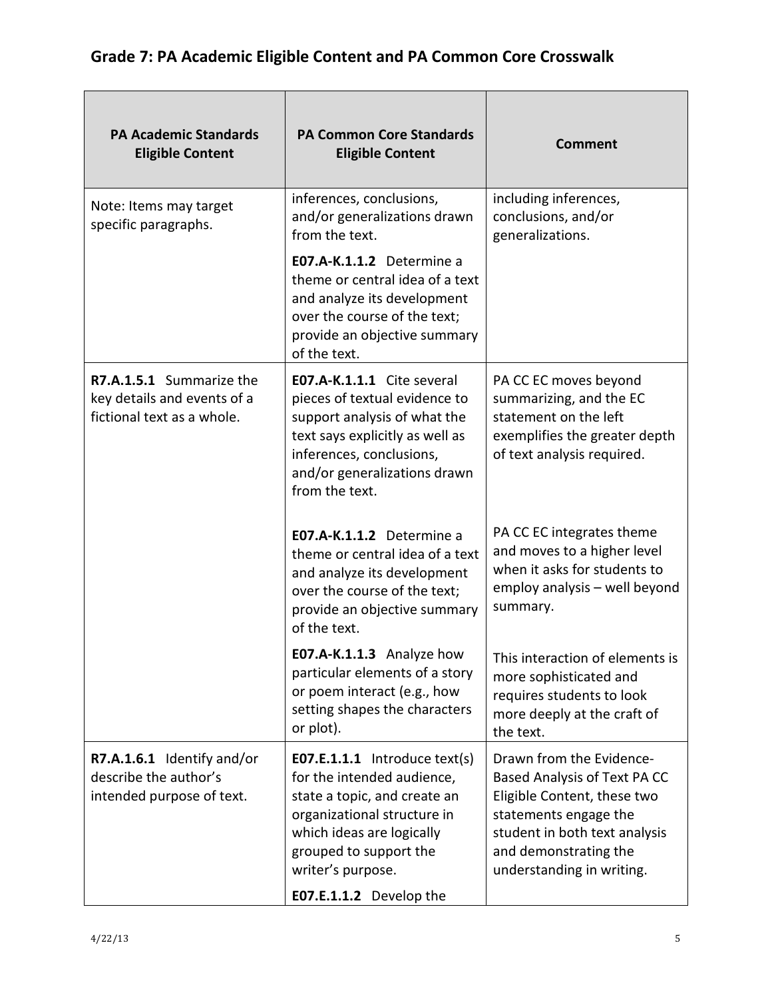| <b>PA Academic Standards</b><br><b>Eligible Content</b>                               | <b>PA Common Core Standards</b><br><b>Eligible Content</b>                                                                                                                                                                               | <b>Comment</b>                                                                                                                                                                                          |
|---------------------------------------------------------------------------------------|------------------------------------------------------------------------------------------------------------------------------------------------------------------------------------------------------------------------------------------|---------------------------------------------------------------------------------------------------------------------------------------------------------------------------------------------------------|
| Note: Items may target<br>specific paragraphs.                                        | inferences, conclusions,<br>and/or generalizations drawn<br>from the text.                                                                                                                                                               | including inferences,<br>conclusions, and/or<br>generalizations.                                                                                                                                        |
|                                                                                       | E07.A-K.1.1.2 Determine a<br>theme or central idea of a text<br>and analyze its development<br>over the course of the text;<br>provide an objective summary<br>of the text.                                                              |                                                                                                                                                                                                         |
| R7.A.1.5.1 Summarize the<br>key details and events of a<br>fictional text as a whole. | E07.A-K.1.1.1 Cite several<br>pieces of textual evidence to<br>support analysis of what the<br>text says explicitly as well as<br>inferences, conclusions,<br>and/or generalizations drawn<br>from the text.                             | PA CC EC moves beyond<br>summarizing, and the EC<br>statement on the left<br>exemplifies the greater depth<br>of text analysis required.                                                                |
|                                                                                       | E07.A-K.1.1.2 Determine a<br>theme or central idea of a text<br>and analyze its development<br>over the course of the text;<br>provide an objective summary<br>of the text.                                                              | PA CC EC integrates theme<br>and moves to a higher level<br>when it asks for students to<br>employ analysis - well beyond<br>summary.                                                                   |
|                                                                                       | E07.A-K.1.1.3 Analyze how<br>particular elements of a story<br>or poem interact (e.g., how<br>setting shapes the characters<br>or plot).                                                                                                 | This interaction of elements is<br>more sophisticated and<br>requires students to look<br>more deeply at the craft of<br>the text.                                                                      |
| R7.A.1.6.1 Identify and/or<br>describe the author's<br>intended purpose of text.      | <b>E07.E.1.1.1</b> Introduce text(s)<br>for the intended audience,<br>state a topic, and create an<br>organizational structure in<br>which ideas are logically<br>grouped to support the<br>writer's purpose.<br>E07.E.1.1.2 Develop the | Drawn from the Evidence-<br>Based Analysis of Text PA CC<br>Eligible Content, these two<br>statements engage the<br>student in both text analysis<br>and demonstrating the<br>understanding in writing. |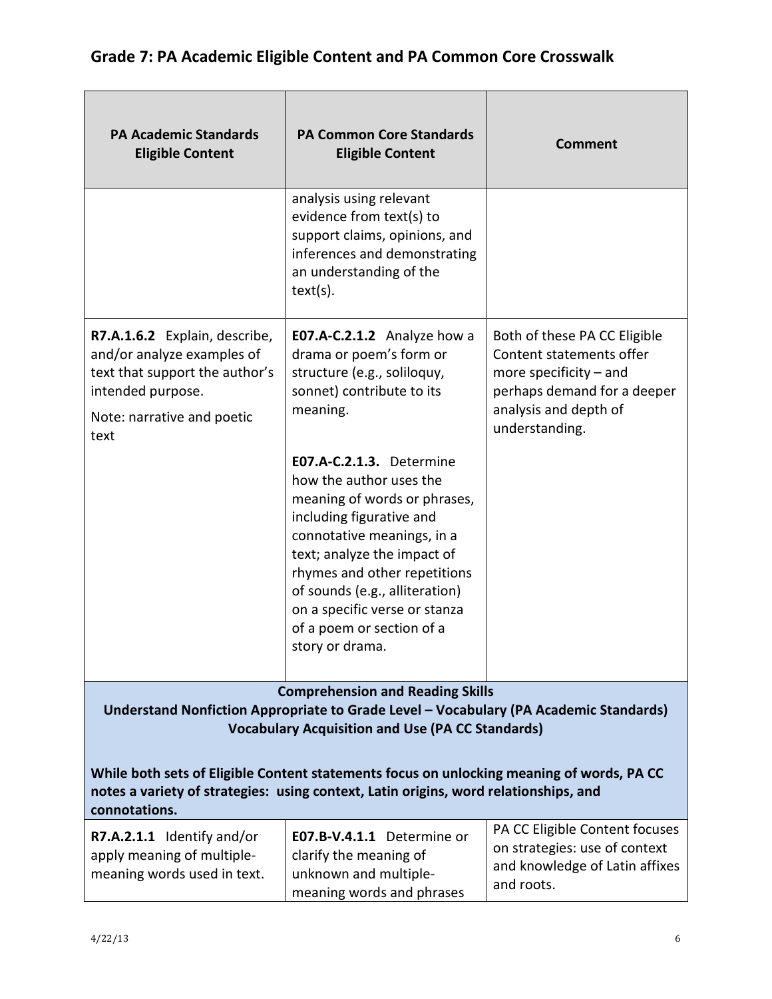| <b>PA Academic Standards</b><br><b>Eligible Content</b>                                                                                                                                            | <b>PA Common Core Standards</b><br><b>Eligible Content</b>                                                                                                                                                                                                                                                                      | <b>Comment</b>                                                                                                                                                 |
|----------------------------------------------------------------------------------------------------------------------------------------------------------------------------------------------------|---------------------------------------------------------------------------------------------------------------------------------------------------------------------------------------------------------------------------------------------------------------------------------------------------------------------------------|----------------------------------------------------------------------------------------------------------------------------------------------------------------|
|                                                                                                                                                                                                    | analysis using relevant<br>evidence from text(s) to<br>support claims, opinions, and<br>inferences and demonstrating<br>an understanding of the<br>text(s).                                                                                                                                                                     |                                                                                                                                                                |
| R7.A.1.6.2 Explain, describe,<br>and/or analyze examples of<br>text that support the author's<br>intended purpose.<br>Note: narrative and poetic<br>text                                           | E07.A-C.2.1.2 Analyze how a<br>drama or poem's form or<br>structure (e.g., soliloquy,<br>sonnet) contribute to its<br>meaning.                                                                                                                                                                                                  | Both of these PA CC Eligible<br>Content statements offer<br>more specificity $-$ and<br>perhaps demand for a deeper<br>analysis and depth of<br>understanding. |
|                                                                                                                                                                                                    | E07.A-C.2.1.3. Determine<br>how the author uses the<br>meaning of words or phrases,<br>including figurative and<br>connotative meanings, in a<br>text; analyze the impact of<br>rhymes and other repetitions<br>of sounds (e.g., alliteration)<br>on a specific verse or stanza<br>of a poem or section of a<br>story or drama. |                                                                                                                                                                |
|                                                                                                                                                                                                    | <b>Comprehension and Reading Skills</b><br>Understand Nonfiction Appropriate to Grade Level - Vocabulary (PA Academic Standards)                                                                                                                                                                                                |                                                                                                                                                                |
|                                                                                                                                                                                                    | <b>Vocabulary Acquisition and Use (PA CC Standards)</b>                                                                                                                                                                                                                                                                         |                                                                                                                                                                |
| While both sets of Eligible Content statements focus on unlocking meaning of words, PA CC<br>notes a variety of strategies: using context, Latin origins, word relationships, and<br>connotations. |                                                                                                                                                                                                                                                                                                                                 |                                                                                                                                                                |
| R7.A.2.1.1 Identify and/or<br>apply meaning of multiple-<br>meaning words used in text.                                                                                                            | <b>E07.B-V.4.1.1</b> Determine or<br>clarify the meaning of<br>unknown and multiple-<br>meaning words and phrases                                                                                                                                                                                                               | PA CC Eligible Content focuses<br>on strategies: use of context<br>and knowledge of Latin affixes<br>and roots.                                                |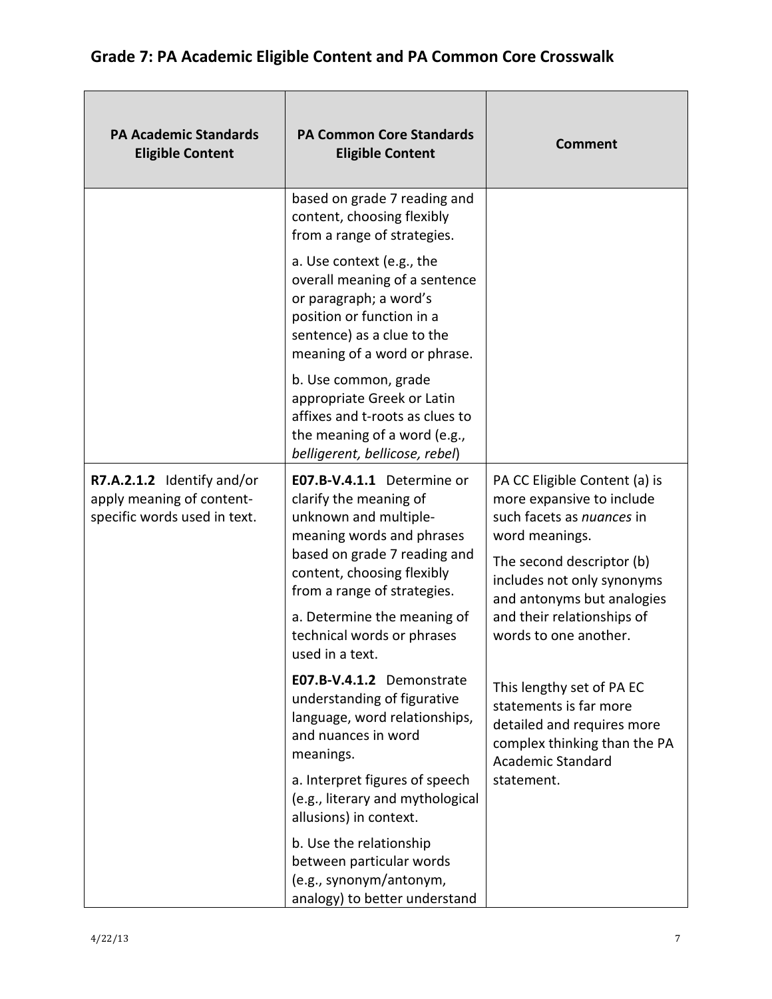| <b>PA Academic Standards</b><br><b>Eligible Content</b>                                 | <b>PA Common Core Standards</b><br><b>Eligible Content</b>                                                                                                                                              | <b>Comment</b>                                                                                                                                                                                                                                            |
|-----------------------------------------------------------------------------------------|---------------------------------------------------------------------------------------------------------------------------------------------------------------------------------------------------------|-----------------------------------------------------------------------------------------------------------------------------------------------------------------------------------------------------------------------------------------------------------|
|                                                                                         | based on grade 7 reading and<br>content, choosing flexibly<br>from a range of strategies.                                                                                                               |                                                                                                                                                                                                                                                           |
|                                                                                         | a. Use context (e.g., the<br>overall meaning of a sentence<br>or paragraph; a word's<br>position or function in a<br>sentence) as a clue to the<br>meaning of a word or phrase.                         |                                                                                                                                                                                                                                                           |
|                                                                                         | b. Use common, grade<br>appropriate Greek or Latin<br>affixes and t-roots as clues to<br>the meaning of a word (e.g.,<br>belligerent, bellicose, rebel)                                                 |                                                                                                                                                                                                                                                           |
| R7.A.2.1.2 Identify and/or<br>apply meaning of content-<br>specific words used in text. | E07.B-V.4.1.1 Determine or<br>clarify the meaning of<br>unknown and multiple-<br>meaning words and phrases<br>based on grade 7 reading and<br>content, choosing flexibly<br>from a range of strategies. | PA CC Eligible Content (a) is<br>more expansive to include<br>such facets as nuances in<br>word meanings.<br>The second descriptor (b)<br>includes not only synonyms<br>and antonyms but analogies<br>and their relationships of<br>words to one another. |
|                                                                                         | a. Determine the meaning of<br>technical words or phrases<br>used in a text.                                                                                                                            |                                                                                                                                                                                                                                                           |
|                                                                                         | E07.B-V.4.1.2 Demonstrate<br>understanding of figurative<br>language, word relationships,<br>and nuances in word<br>meanings.                                                                           | This lengthy set of PA EC<br>statements is far more<br>detailed and requires more<br>complex thinking than the PA<br><b>Academic Standard</b>                                                                                                             |
|                                                                                         | a. Interpret figures of speech<br>(e.g., literary and mythological<br>allusions) in context.                                                                                                            | statement.                                                                                                                                                                                                                                                |
|                                                                                         | b. Use the relationship<br>between particular words<br>(e.g., synonym/antonym,<br>analogy) to better understand                                                                                         |                                                                                                                                                                                                                                                           |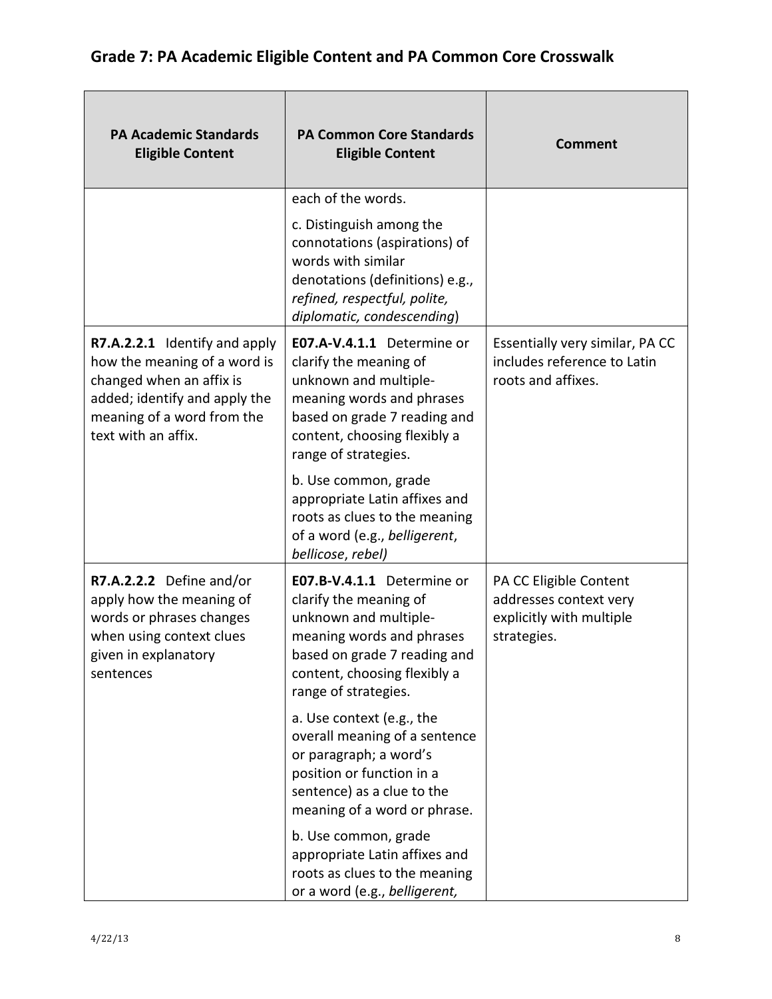#### PA Academic Standards Eligible Content PA Common Core Standards Eligible Content Comment each of the words. c. Distinguish among the connotations (aspirations) of words with similar denotations (definitions) e.g., refined, respectful, polite, diplomatic, condescending) R7.A.2.2.1 Identify and apply how the meaning of a word is changed when an affix is added; identify and apply the meaning of a word from the text with an affix. E07.A-V.4.1.1 Determine or clarify the meaning of unknown and multiplemeaning words and phrases based on grade 7 reading and content, choosing flexibly a range of strategies. b. Use common, grade appropriate Latin affixes and roots as clues to the meaning of a word (e.g., belligerent, bellicose, rebel) Essentially very similar, PA CC includes reference to Latin roots and affixes. R7.A.2.2.2 Define and/or apply how the meaning of words or phrases changes when using context clues given in explanatory sentences E07.B-V.4.1.1 Determine or clarify the meaning of unknown and multiplemeaning words and phrases based on grade 7 reading and content, choosing flexibly a range of strategies. a. Use context (e.g., the overall meaning of a sentence or paragraph; a word's position or function in a sentence) as a clue to the meaning of a word or phrase. b. Use common, grade appropriate Latin affixes and roots as clues to the meaning or a word (e.g., belligerent, PA CC Eligible Content addresses context very explicitly with multiple strategies.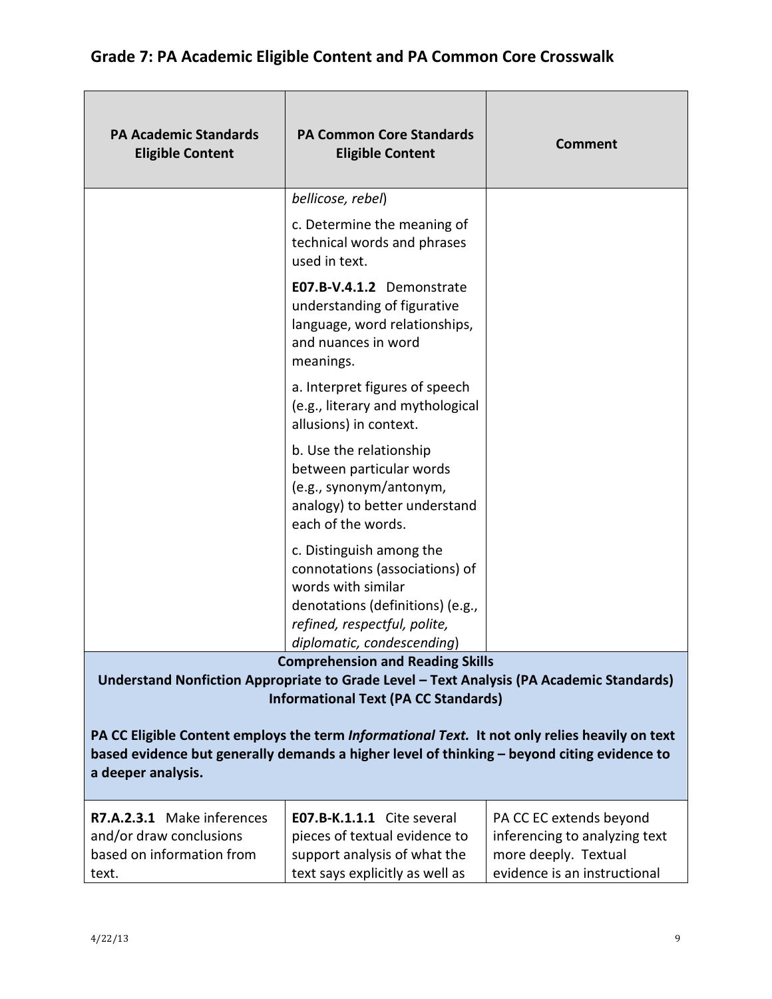| <b>PA Academic Standards</b><br><b>Eligible Content</b>                                                                                                                                                             | <b>PA Common Core Standards</b><br><b>Eligible Content</b>                                                                                                                         | <b>Comment</b>                                                                                                   |
|---------------------------------------------------------------------------------------------------------------------------------------------------------------------------------------------------------------------|------------------------------------------------------------------------------------------------------------------------------------------------------------------------------------|------------------------------------------------------------------------------------------------------------------|
|                                                                                                                                                                                                                     | bellicose, rebel)                                                                                                                                                                  |                                                                                                                  |
|                                                                                                                                                                                                                     | c. Determine the meaning of<br>technical words and phrases<br>used in text.                                                                                                        |                                                                                                                  |
|                                                                                                                                                                                                                     | E07.B-V.4.1.2 Demonstrate<br>understanding of figurative<br>language, word relationships,<br>and nuances in word<br>meanings.                                                      |                                                                                                                  |
|                                                                                                                                                                                                                     | a. Interpret figures of speech<br>(e.g., literary and mythological<br>allusions) in context.                                                                                       |                                                                                                                  |
|                                                                                                                                                                                                                     | b. Use the relationship<br>between particular words<br>(e.g., synonym/antonym,<br>analogy) to better understand<br>each of the words.                                              |                                                                                                                  |
|                                                                                                                                                                                                                     | c. Distinguish among the<br>connotations (associations) of<br>words with similar<br>denotations (definitions) (e.g.,<br>refined, respectful, polite,<br>diplomatic, condescending) |                                                                                                                  |
|                                                                                                                                                                                                                     | <b>Comprehension and Reading Skills</b>                                                                                                                                            |                                                                                                                  |
|                                                                                                                                                                                                                     | Understand Nonfiction Appropriate to Grade Level - Text Analysis (PA Academic Standards)<br><b>Informational Text (PA CC Standards)</b>                                            |                                                                                                                  |
| PA CC Eligible Content employs the term Informational Text. It not only relies heavily on text<br>based evidence but generally demands a higher level of thinking - beyond citing evidence to<br>a deeper analysis. |                                                                                                                                                                                    |                                                                                                                  |
| R7.A.2.3.1 Make inferences<br>and/or draw conclusions<br>based on information from<br>text.                                                                                                                         | E07.B-K.1.1.1 Cite several<br>pieces of textual evidence to<br>support analysis of what the<br>text says explicitly as well as                                                     | PA CC EC extends beyond<br>inferencing to analyzing text<br>more deeply. Textual<br>evidence is an instructional |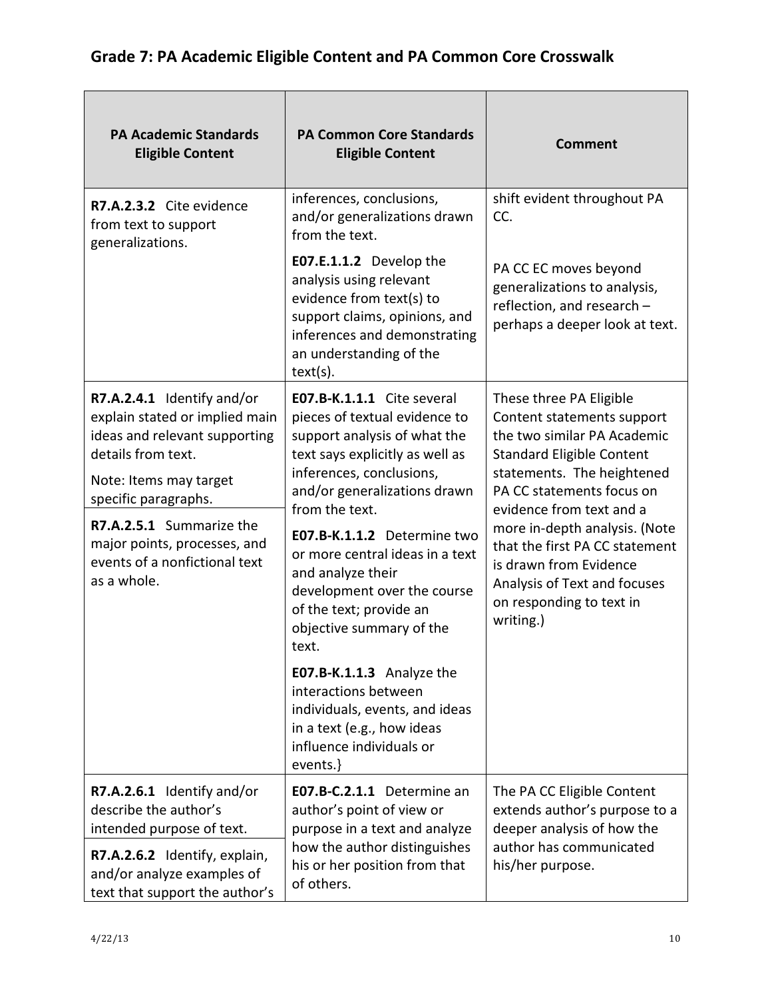| <b>PA Academic Standards</b><br><b>Eligible Content</b>                                                             | <b>PA Common Core Standards</b><br><b>Eligible Content</b>                                                                                                                             | <b>Comment</b>                                                                                                                                                     |
|---------------------------------------------------------------------------------------------------------------------|----------------------------------------------------------------------------------------------------------------------------------------------------------------------------------------|--------------------------------------------------------------------------------------------------------------------------------------------------------------------|
| R7.A.2.3.2 Cite evidence<br>from text to support<br>generalizations.                                                | inferences, conclusions,<br>and/or generalizations drawn<br>from the text.                                                                                                             | shift evident throughout PA<br>CC.                                                                                                                                 |
|                                                                                                                     | E07.E.1.1.2 Develop the<br>analysis using relevant<br>evidence from text(s) to<br>support claims, opinions, and<br>inferences and demonstrating<br>an understanding of the<br>text(s). | PA CC EC moves beyond<br>generalizations to analysis,<br>reflection, and research -<br>perhaps a deeper look at text.                                              |
| R7.A.2.4.1 Identify and/or<br>explain stated or implied main<br>ideas and relevant supporting<br>details from text. | E07.B-K.1.1.1 Cite several<br>pieces of textual evidence to<br>support analysis of what the<br>text says explicitly as well as                                                         | These three PA Eligible<br>Content statements support<br>the two similar PA Academic<br><b>Standard Eligible Content</b>                                           |
| Note: Items may target<br>specific paragraphs.                                                                      | inferences, conclusions,<br>and/or generalizations drawn<br>from the text.                                                                                                             | statements. The heightened<br>PA CC statements focus on<br>evidence from text and a                                                                                |
| R7.A.2.5.1 Summarize the<br>major points, processes, and<br>events of a nonfictional text<br>as a whole.            | E07.B-K.1.1.2 Determine two<br>or more central ideas in a text<br>and analyze their<br>development over the course<br>of the text; provide an<br>objective summary of the<br>text.     | more in-depth analysis. (Note<br>that the first PA CC statement<br>is drawn from Evidence<br>Analysis of Text and focuses<br>on responding to text in<br>writing.) |
|                                                                                                                     | E07.B-K.1.1.3 Analyze the<br>interactions between<br>individuals, events, and ideas<br>in a text (e.g., how ideas<br>influence individuals or<br>events.}                              |                                                                                                                                                                    |
| R7.A.2.6.1 Identify and/or<br>describe the author's<br>intended purpose of text.                                    | E07.B-C.2.1.1 Determine an<br>author's point of view or<br>purpose in a text and analyze                                                                                               | The PA CC Eligible Content<br>extends author's purpose to a<br>deeper analysis of how the                                                                          |
| R7.A.2.6.2 Identify, explain,<br>and/or analyze examples of<br>text that support the author's                       | how the author distinguishes<br>his or her position from that<br>of others.                                                                                                            | author has communicated<br>his/her purpose.                                                                                                                        |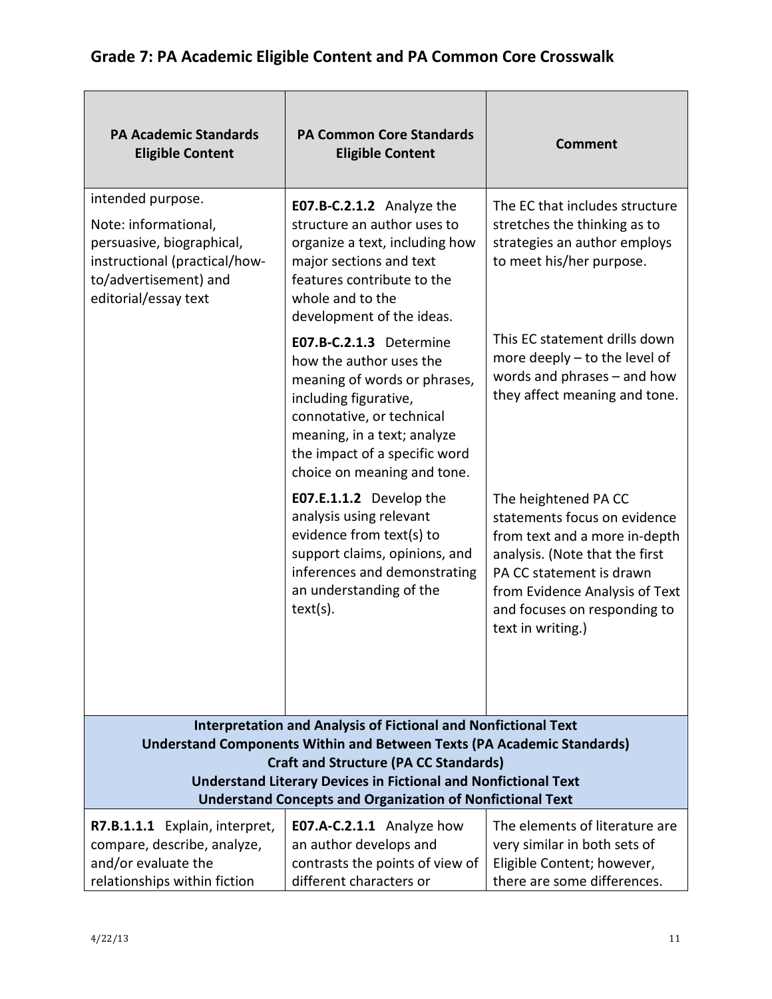| <b>PA Academic Standards</b><br><b>Eligible Content</b>                                                                                                                                   | <b>PA Common Core Standards</b><br><b>Eligible Content</b>                                                                                                                                                                              | <b>Comment</b>                                                                                                                                                                                                                             |
|-------------------------------------------------------------------------------------------------------------------------------------------------------------------------------------------|-----------------------------------------------------------------------------------------------------------------------------------------------------------------------------------------------------------------------------------------|--------------------------------------------------------------------------------------------------------------------------------------------------------------------------------------------------------------------------------------------|
| intended purpose.<br>Note: informational,<br>persuasive, biographical,<br>instructional (practical/how-<br>to/advertisement) and<br>editorial/essay text                                  | E07.B-C.2.1.2 Analyze the<br>structure an author uses to<br>organize a text, including how<br>major sections and text<br>features contribute to the<br>whole and to the<br>development of the ideas.                                    | The EC that includes structure<br>stretches the thinking as to<br>strategies an author employs<br>to meet his/her purpose.                                                                                                                 |
|                                                                                                                                                                                           | E07.B-C.2.1.3 Determine<br>how the author uses the<br>meaning of words or phrases,<br>including figurative,<br>connotative, or technical<br>meaning, in a text; analyze<br>the impact of a specific word<br>choice on meaning and tone. | This EC statement drills down<br>more deeply $-$ to the level of<br>words and phrases - and how<br>they affect meaning and tone.                                                                                                           |
|                                                                                                                                                                                           | E07.E.1.1.2 Develop the<br>analysis using relevant<br>evidence from text(s) to<br>support claims, opinions, and<br>inferences and demonstrating<br>an understanding of the<br>text(s).                                                  | The heightened PA CC<br>statements focus on evidence<br>from text and a more in-depth<br>analysis. (Note that the first<br>PA CC statement is drawn<br>from Evidence Analysis of Text<br>and focuses on responding to<br>text in writing.) |
| <b>Interpretation and Analysis of Fictional and Nonfictional Text</b><br><b>Understand Components Within and Between Texts (PA Academic Standards)</b>                                    |                                                                                                                                                                                                                                         |                                                                                                                                                                                                                                            |
| <b>Craft and Structure (PA CC Standards)</b><br><b>Understand Literary Devices in Fictional and Nonfictional Text</b><br><b>Understand Concepts and Organization of Nonfictional Text</b> |                                                                                                                                                                                                                                         |                                                                                                                                                                                                                                            |
| R7.B.1.1.1 Explain, interpret,<br>compare, describe, analyze,<br>and/or evaluate the<br>relationships within fiction                                                                      | <b>E07.A-C.2.1.1</b> Analyze how<br>an author develops and<br>contrasts the points of view of<br>different characters or                                                                                                                | The elements of literature are<br>very similar in both sets of<br>Eligible Content; however,<br>there are some differences.                                                                                                                |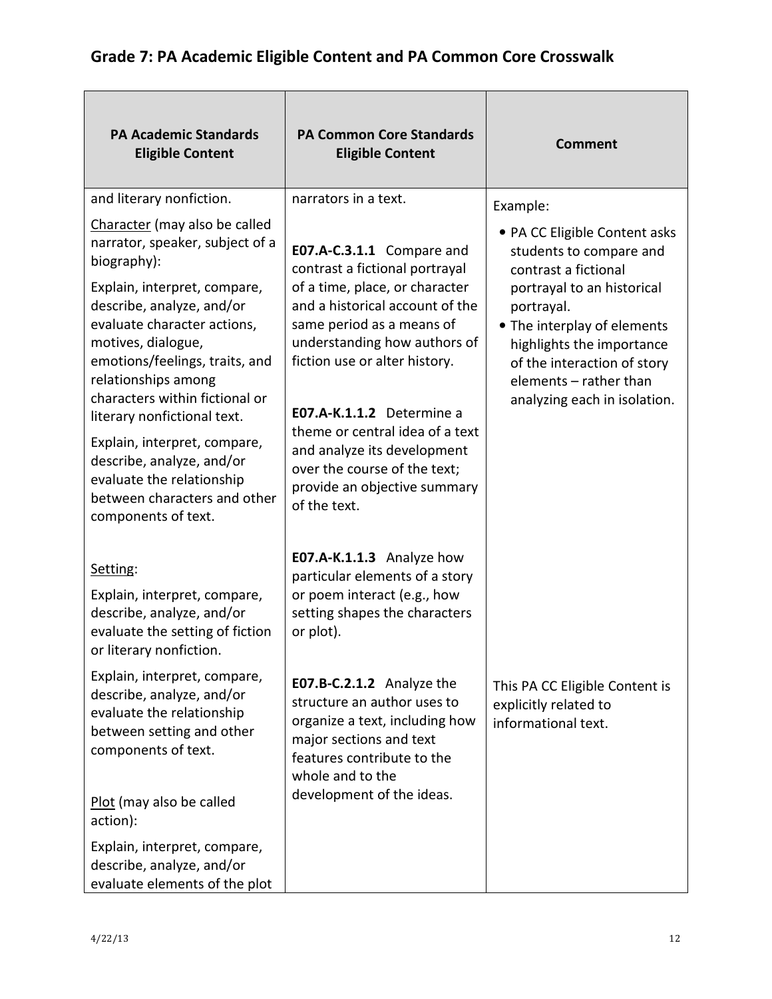| <b>PA Academic Standards</b><br><b>Eligible Content</b>                                                                                                                                                                                                                                                                     | <b>PA Common Core Standards</b><br><b>Eligible Content</b>                                                                                                                                                                                                                                     | <b>Comment</b>                                                                                                                                                                                                                                                                    |
|-----------------------------------------------------------------------------------------------------------------------------------------------------------------------------------------------------------------------------------------------------------------------------------------------------------------------------|------------------------------------------------------------------------------------------------------------------------------------------------------------------------------------------------------------------------------------------------------------------------------------------------|-----------------------------------------------------------------------------------------------------------------------------------------------------------------------------------------------------------------------------------------------------------------------------------|
| and literary nonfiction.                                                                                                                                                                                                                                                                                                    | narrators in a text.                                                                                                                                                                                                                                                                           | Example:                                                                                                                                                                                                                                                                          |
| Character (may also be called<br>narrator, speaker, subject of a<br>biography):<br>Explain, interpret, compare,<br>describe, analyze, and/or<br>evaluate character actions,<br>motives, dialogue,<br>emotions/feelings, traits, and<br>relationships among<br>characters within fictional or<br>literary nonfictional text. | E07.A-C.3.1.1 Compare and<br>contrast a fictional portrayal<br>of a time, place, or character<br>and a historical account of the<br>same period as a means of<br>understanding how authors of<br>fiction use or alter history.<br>E07.A-K.1.1.2 Determine a<br>theme or central idea of a text | • PA CC Eligible Content asks<br>students to compare and<br>contrast a fictional<br>portrayal to an historical<br>portrayal.<br>• The interplay of elements<br>highlights the importance<br>of the interaction of story<br>elements - rather than<br>analyzing each in isolation. |
| Explain, interpret, compare,<br>describe, analyze, and/or<br>evaluate the relationship<br>between characters and other<br>components of text.                                                                                                                                                                               | and analyze its development<br>over the course of the text;<br>provide an objective summary<br>of the text.                                                                                                                                                                                    |                                                                                                                                                                                                                                                                                   |
| Setting:                                                                                                                                                                                                                                                                                                                    | E07.A-K.1.1.3 Analyze how                                                                                                                                                                                                                                                                      |                                                                                                                                                                                                                                                                                   |
| Explain, interpret, compare,<br>describe, analyze, and/or<br>evaluate the setting of fiction<br>or literary nonfiction.                                                                                                                                                                                                     | particular elements of a story<br>or poem interact (e.g., how<br>setting shapes the characters<br>or plot).                                                                                                                                                                                    |                                                                                                                                                                                                                                                                                   |
| Explain, interpret, compare,<br>describe, analyze, and/or<br>evaluate the relationship<br>between setting and other<br>components of text.                                                                                                                                                                                  | E07.B-C.2.1.2 Analyze the<br>structure an author uses to<br>organize a text, including how<br>major sections and text<br>features contribute to the<br>whole and to the                                                                                                                        | This PA CC Eligible Content is<br>explicitly related to<br>informational text.                                                                                                                                                                                                    |
| Plot (may also be called<br>action):                                                                                                                                                                                                                                                                                        | development of the ideas.                                                                                                                                                                                                                                                                      |                                                                                                                                                                                                                                                                                   |
| Explain, interpret, compare,<br>describe, analyze, and/or<br>evaluate elements of the plot                                                                                                                                                                                                                                  |                                                                                                                                                                                                                                                                                                |                                                                                                                                                                                                                                                                                   |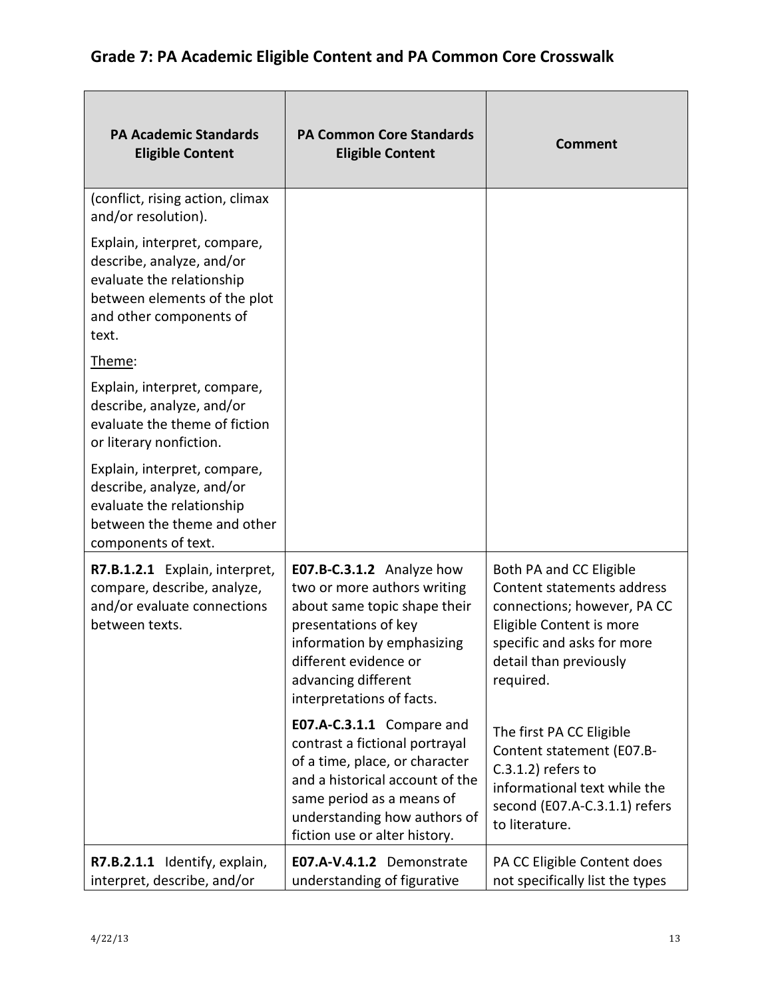| <b>PA Academic Standards</b><br><b>Eligible Content</b>                                                                                                    | <b>PA Common Core Standards</b><br><b>Eligible Content</b>                                                                                                                                                                     | <b>Comment</b>                                                                                                                                                                        |
|------------------------------------------------------------------------------------------------------------------------------------------------------------|--------------------------------------------------------------------------------------------------------------------------------------------------------------------------------------------------------------------------------|---------------------------------------------------------------------------------------------------------------------------------------------------------------------------------------|
| (conflict, rising action, climax<br>and/or resolution).                                                                                                    |                                                                                                                                                                                                                                |                                                                                                                                                                                       |
| Explain, interpret, compare,<br>describe, analyze, and/or<br>evaluate the relationship<br>between elements of the plot<br>and other components of<br>text. |                                                                                                                                                                                                                                |                                                                                                                                                                                       |
| Theme:                                                                                                                                                     |                                                                                                                                                                                                                                |                                                                                                                                                                                       |
| Explain, interpret, compare,<br>describe, analyze, and/or<br>evaluate the theme of fiction<br>or literary nonfiction.                                      |                                                                                                                                                                                                                                |                                                                                                                                                                                       |
| Explain, interpret, compare,<br>describe, analyze, and/or<br>evaluate the relationship<br>between the theme and other<br>components of text.               |                                                                                                                                                                                                                                |                                                                                                                                                                                       |
| R7.B.1.2.1 Explain, interpret,<br>compare, describe, analyze,<br>and/or evaluate connections<br>between texts.                                             | E07.B-C.3.1.2 Analyze how<br>two or more authors writing<br>about same topic shape their<br>presentations of key<br>information by emphasizing<br>different evidence or<br>advancing different<br>interpretations of facts.    | Both PA and CC Eligible<br>Content statements address<br>connections; however, PA CC<br>Eligible Content is more<br>specific and asks for more<br>detail than previously<br>required. |
|                                                                                                                                                            | E07.A-C.3.1.1 Compare and<br>contrast a fictional portrayal<br>of a time, place, or character<br>and a historical account of the<br>same period as a means of<br>understanding how authors of<br>fiction use or alter history. | The first PA CC Eligible<br>Content statement (E07.B-<br>$C.3.1.2$ ) refers to<br>informational text while the<br>second (E07.A-C.3.1.1) refers<br>to literature.                     |
| R7.B.2.1.1 Identify, explain,<br>interpret, describe, and/or                                                                                               | E07.A-V.4.1.2 Demonstrate<br>understanding of figurative                                                                                                                                                                       | PA CC Eligible Content does<br>not specifically list the types                                                                                                                        |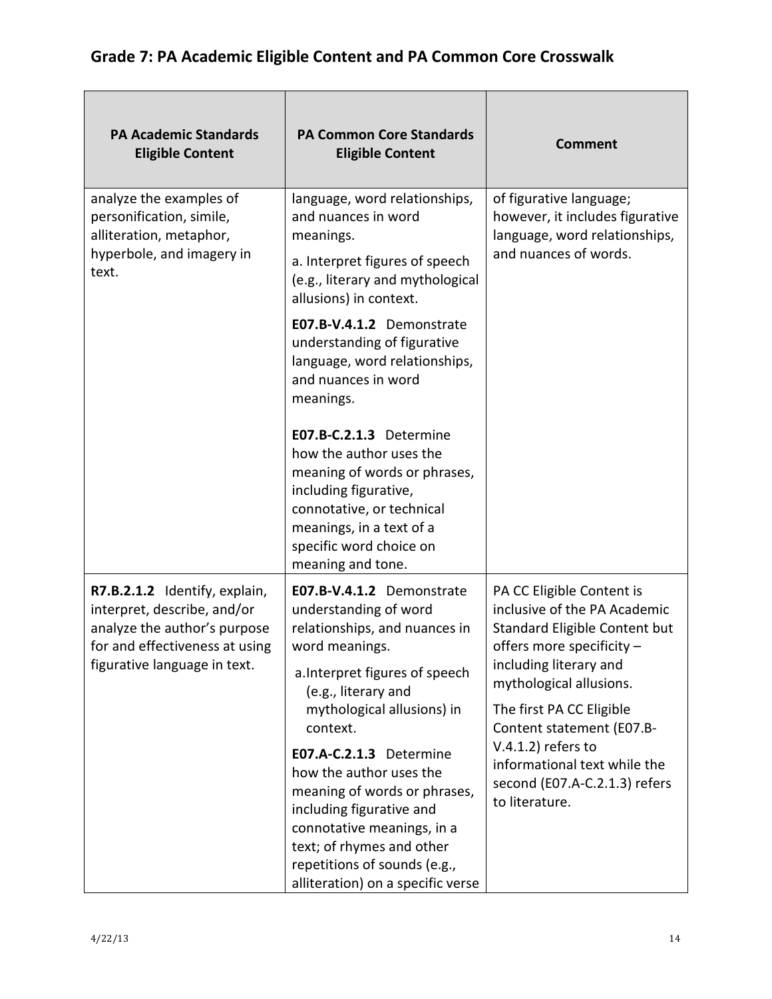| <b>PA Academic Standards</b><br><b>Eligible Content</b>                                                                                                        | <b>PA Common Core Standards</b><br><b>Eligible Content</b>                                                                                                                                                                                                                                                                                                                                                        | <b>Comment</b>                                                                                                                                                                                                                                                                                                                                    |
|----------------------------------------------------------------------------------------------------------------------------------------------------------------|-------------------------------------------------------------------------------------------------------------------------------------------------------------------------------------------------------------------------------------------------------------------------------------------------------------------------------------------------------------------------------------------------------------------|---------------------------------------------------------------------------------------------------------------------------------------------------------------------------------------------------------------------------------------------------------------------------------------------------------------------------------------------------|
| analyze the examples of<br>personification, simile,<br>alliteration, metaphor,<br>hyperbole, and imagery in<br>text.                                           | language, word relationships,<br>and nuances in word<br>meanings.<br>a. Interpret figures of speech<br>(e.g., literary and mythological<br>allusions) in context.<br>E07.B-V.4.1.2 Demonstrate<br>understanding of figurative<br>language, word relationships,<br>and nuances in word<br>meanings.<br>E07.B-C.2.1.3 Determine<br>how the author uses the<br>meaning of words or phrases,<br>including figurative, | of figurative language;<br>however, it includes figurative<br>language, word relationships,<br>and nuances of words.                                                                                                                                                                                                                              |
|                                                                                                                                                                | connotative, or technical<br>meanings, in a text of a<br>specific word choice on<br>meaning and tone.                                                                                                                                                                                                                                                                                                             |                                                                                                                                                                                                                                                                                                                                                   |
| R7.B.2.1.2 Identify, explain,<br>interpret, describe, and/or<br>analyze the author's purpose<br>for and effectiveness at using<br>figurative language in text. | E07.B-V.4.1.2 Demonstrate<br>understanding of word<br>relationships, and nuances in<br>word meanings.                                                                                                                                                                                                                                                                                                             | PA CC Eligible Content is<br>inclusive of the PA Academic<br>Standard Eligible Content but<br>offers more specificity -<br>including literary and<br>mythological allusions.<br>The first PA CC Eligible<br>Content statement (E07.B-<br>$V.4.1.2$ ) refers to<br>informational text while the<br>second (E07.A-C.2.1.3) refers<br>to literature. |
|                                                                                                                                                                | a. Interpret figures of speech<br>(e.g., literary and<br>mythological allusions) in<br>context.                                                                                                                                                                                                                                                                                                                   |                                                                                                                                                                                                                                                                                                                                                   |
|                                                                                                                                                                | E07.A-C.2.1.3 Determine<br>how the author uses the<br>meaning of words or phrases,<br>including figurative and<br>connotative meanings, in a<br>text; of rhymes and other<br>repetitions of sounds (e.g.,<br>alliteration) on a specific verse                                                                                                                                                                    |                                                                                                                                                                                                                                                                                                                                                   |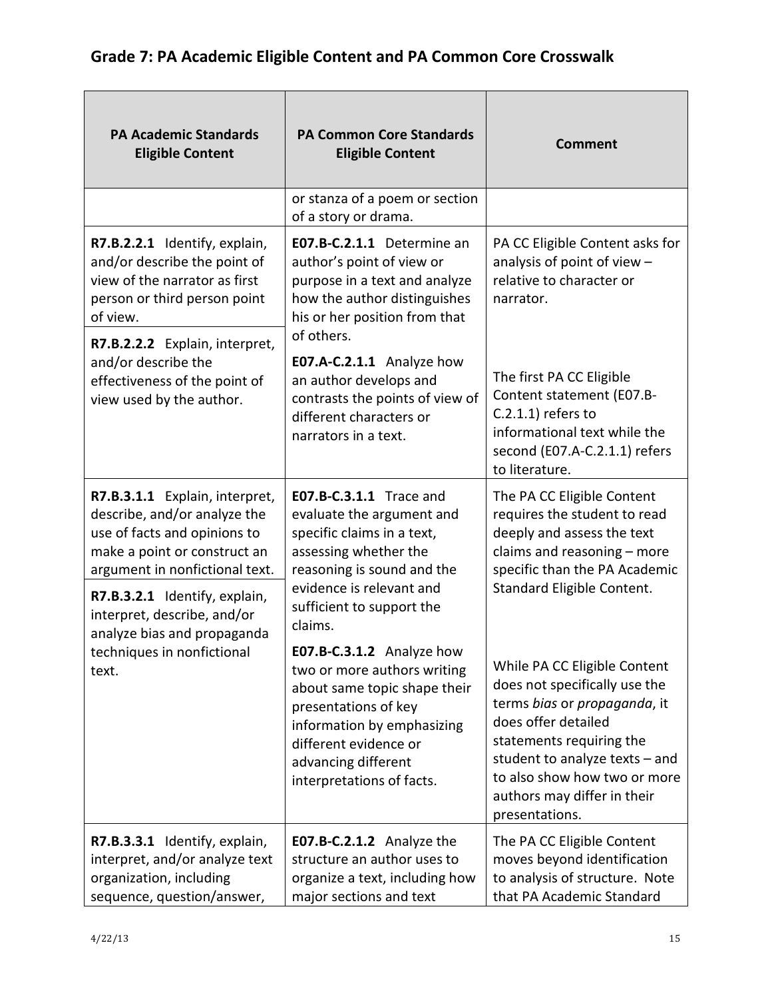| <b>PA Academic Standards</b><br><b>Eligible Content</b>                                                                                                                                                                          | <b>PA Common Core Standards</b><br><b>Eligible Content</b>                                                                                                                                                                  | <b>Comment</b>                                                                                                                                                                                                                                                        |
|----------------------------------------------------------------------------------------------------------------------------------------------------------------------------------------------------------------------------------|-----------------------------------------------------------------------------------------------------------------------------------------------------------------------------------------------------------------------------|-----------------------------------------------------------------------------------------------------------------------------------------------------------------------------------------------------------------------------------------------------------------------|
|                                                                                                                                                                                                                                  | or stanza of a poem or section<br>of a story or drama.                                                                                                                                                                      |                                                                                                                                                                                                                                                                       |
| R7.B.2.2.1 Identify, explain,<br>and/or describe the point of<br>view of the narrator as first<br>person or third person point<br>of view.<br>R7.B.2.2.2 Explain, interpret,                                                     | E07.B-C.2.1.1 Determine an<br>author's point of view or<br>purpose in a text and analyze<br>how the author distinguishes<br>his or her position from that<br>of others.                                                     | PA CC Eligible Content asks for<br>analysis of point of view -<br>relative to character or<br>narrator.                                                                                                                                                               |
| and/or describe the<br>effectiveness of the point of<br>view used by the author.                                                                                                                                                 | E07.A-C.2.1.1 Analyze how<br>an author develops and<br>contrasts the points of view of<br>different characters or<br>narrators in a text.                                                                                   | The first PA CC Eligible<br>Content statement (E07.B-<br>$C.2.1.1$ ) refers to<br>informational text while the<br>second (E07.A-C.2.1.1) refers<br>to literature.                                                                                                     |
| R7.B.3.1.1 Explain, interpret,<br>describe, and/or analyze the<br>use of facts and opinions to<br>make a point or construct an<br>argument in nonfictional text.<br>R7.B.3.2.1 Identify, explain,<br>interpret, describe, and/or | E07.B-C.3.1.1 Trace and<br>evaluate the argument and<br>specific claims in a text,<br>assessing whether the<br>reasoning is sound and the<br>evidence is relevant and<br>sufficient to support the<br>claims.               | The PA CC Eligible Content<br>requires the student to read<br>deeply and assess the text<br>claims and reasoning - more<br>specific than the PA Academic<br>Standard Eligible Content.                                                                                |
| analyze bias and propaganda<br>techniques in nonfictional<br>text.                                                                                                                                                               | E07.B-C.3.1.2 Analyze how<br>two or more authors writing<br>about same topic shape their<br>presentations of key<br>information by emphasizing<br>different evidence or<br>advancing different<br>interpretations of facts. | While PA CC Eligible Content<br>does not specifically use the<br>terms bias or propaganda, it<br>does offer detailed<br>statements requiring the<br>student to analyze texts $-$ and<br>to also show how two or more<br>authors may differ in their<br>presentations. |
| R7.B.3.3.1 Identify, explain,<br>interpret, and/or analyze text<br>organization, including<br>sequence, question/answer,                                                                                                         | E07.B-C.2.1.2 Analyze the<br>structure an author uses to<br>organize a text, including how<br>major sections and text                                                                                                       | The PA CC Eligible Content<br>moves beyond identification<br>to analysis of structure. Note<br>that PA Academic Standard                                                                                                                                              |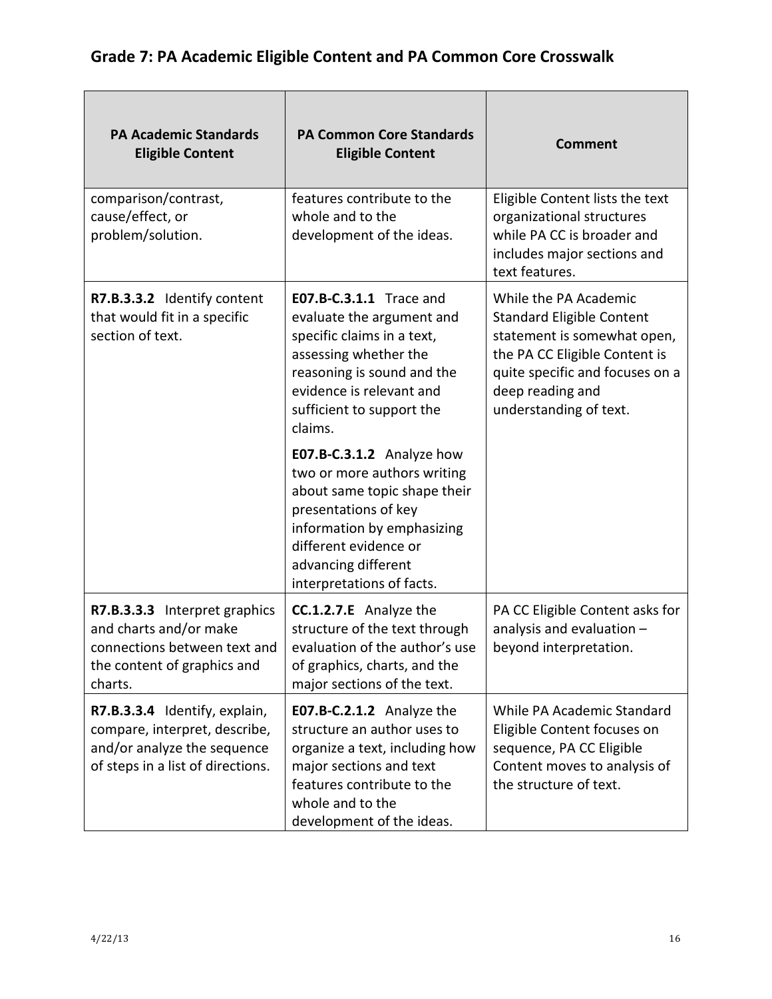| <b>PA Academic Standards</b><br><b>Eligible Content</b>                                                                            | <b>PA Common Core Standards</b><br><b>Eligible Content</b>                                                                                                                                                                  | <b>Comment</b>                                                                                                                                                                                             |
|------------------------------------------------------------------------------------------------------------------------------------|-----------------------------------------------------------------------------------------------------------------------------------------------------------------------------------------------------------------------------|------------------------------------------------------------------------------------------------------------------------------------------------------------------------------------------------------------|
| comparison/contrast,<br>cause/effect, or<br>problem/solution.                                                                      | features contribute to the<br>whole and to the<br>development of the ideas.                                                                                                                                                 | Eligible Content lists the text<br>organizational structures<br>while PA CC is broader and<br>includes major sections and<br>text features.                                                                |
| R7.B.3.3.2 Identify content<br>that would fit in a specific<br>section of text.                                                    | <b>E07.B-C.3.1.1</b> Trace and<br>evaluate the argument and<br>specific claims in a text,<br>assessing whether the<br>reasoning is sound and the<br>evidence is relevant and<br>sufficient to support the<br>claims.        | While the PA Academic<br><b>Standard Eligible Content</b><br>statement is somewhat open,<br>the PA CC Eligible Content is<br>quite specific and focuses on a<br>deep reading and<br>understanding of text. |
|                                                                                                                                    | E07.B-C.3.1.2 Analyze how<br>two or more authors writing<br>about same topic shape their<br>presentations of key<br>information by emphasizing<br>different evidence or<br>advancing different<br>interpretations of facts. |                                                                                                                                                                                                            |
| R7.B.3.3.3 Interpret graphics<br>and charts and/or make<br>connections between text and<br>the content of graphics and<br>charts.  | <b>CC.1.2.7.E</b> Analyze the<br>structure of the text through<br>evaluation of the author's use<br>of graphics, charts, and the<br>major sections of the text.                                                             | PA CC Eligible Content asks for<br>analysis and evaluation -<br>beyond interpretation.                                                                                                                     |
| R7.B.3.3.4 Identify, explain,<br>compare, interpret, describe,<br>and/or analyze the sequence<br>of steps in a list of directions. | E07.B-C.2.1.2 Analyze the<br>structure an author uses to<br>organize a text, including how<br>major sections and text<br>features contribute to the<br>whole and to the<br>development of the ideas.                        | While PA Academic Standard<br>Eligible Content focuses on<br>sequence, PA CC Eligible<br>Content moves to analysis of<br>the structure of text.                                                            |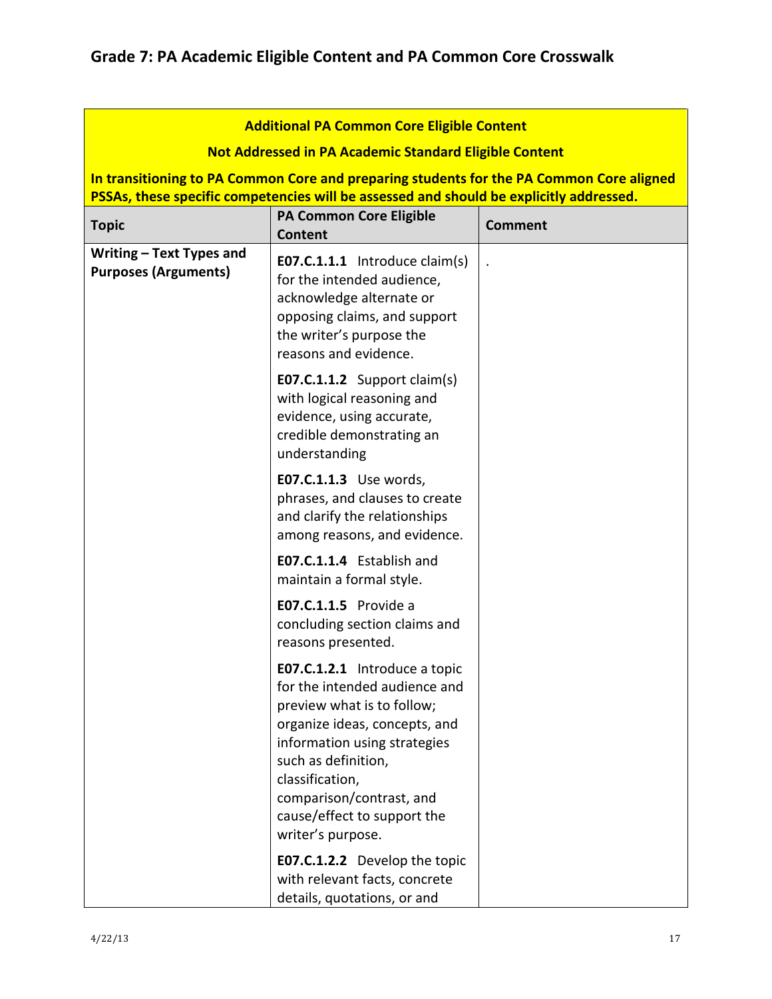|                                                                                                                                                                                                                                                      | <b>Additional PA Common Core Eligible Content</b>                                                                                                                                                                                                                                       |                |  |
|------------------------------------------------------------------------------------------------------------------------------------------------------------------------------------------------------------------------------------------------------|-----------------------------------------------------------------------------------------------------------------------------------------------------------------------------------------------------------------------------------------------------------------------------------------|----------------|--|
|                                                                                                                                                                                                                                                      |                                                                                                                                                                                                                                                                                         |                |  |
| <b>Not Addressed in PA Academic Standard Eligible Content</b><br>In transitioning to PA Common Core and preparing students for the PA Common Core aligned<br>PSSAs, these specific competencies will be assessed and should be explicitly addressed. |                                                                                                                                                                                                                                                                                         |                |  |
| <b>Topic</b>                                                                                                                                                                                                                                         | <b>PA Common Core Eligible</b><br><b>Content</b>                                                                                                                                                                                                                                        | <b>Comment</b> |  |
| Writing - Text Types and<br><b>Purposes (Arguments)</b>                                                                                                                                                                                              | <b>E07.C.1.1.1</b> Introduce claim(s)<br>for the intended audience,<br>acknowledge alternate or<br>opposing claims, and support<br>the writer's purpose the<br>reasons and evidence.                                                                                                    |                |  |
|                                                                                                                                                                                                                                                      | E07.C.1.1.2 Support claim(s)<br>with logical reasoning and<br>evidence, using accurate,<br>credible demonstrating an<br>understanding                                                                                                                                                   |                |  |
|                                                                                                                                                                                                                                                      | E07.C.1.1.3 Use words,<br>phrases, and clauses to create<br>and clarify the relationships<br>among reasons, and evidence.                                                                                                                                                               |                |  |
|                                                                                                                                                                                                                                                      | E07.C.1.1.4 Establish and<br>maintain a formal style.                                                                                                                                                                                                                                   |                |  |
|                                                                                                                                                                                                                                                      | <b>E07.C.1.1.5</b> Provide a<br>concluding section claims and<br>reasons presented.                                                                                                                                                                                                     |                |  |
|                                                                                                                                                                                                                                                      | E07.C.1.2.1 Introduce a topic<br>for the intended audience and<br>preview what is to follow;<br>organize ideas, concepts, and<br>information using strategies<br>such as definition,<br>classification,<br>comparison/contrast, and<br>cause/effect to support the<br>writer's purpose. |                |  |
|                                                                                                                                                                                                                                                      | <b>E07.C.1.2.2</b> Develop the topic<br>with relevant facts, concrete<br>details, quotations, or and                                                                                                                                                                                    |                |  |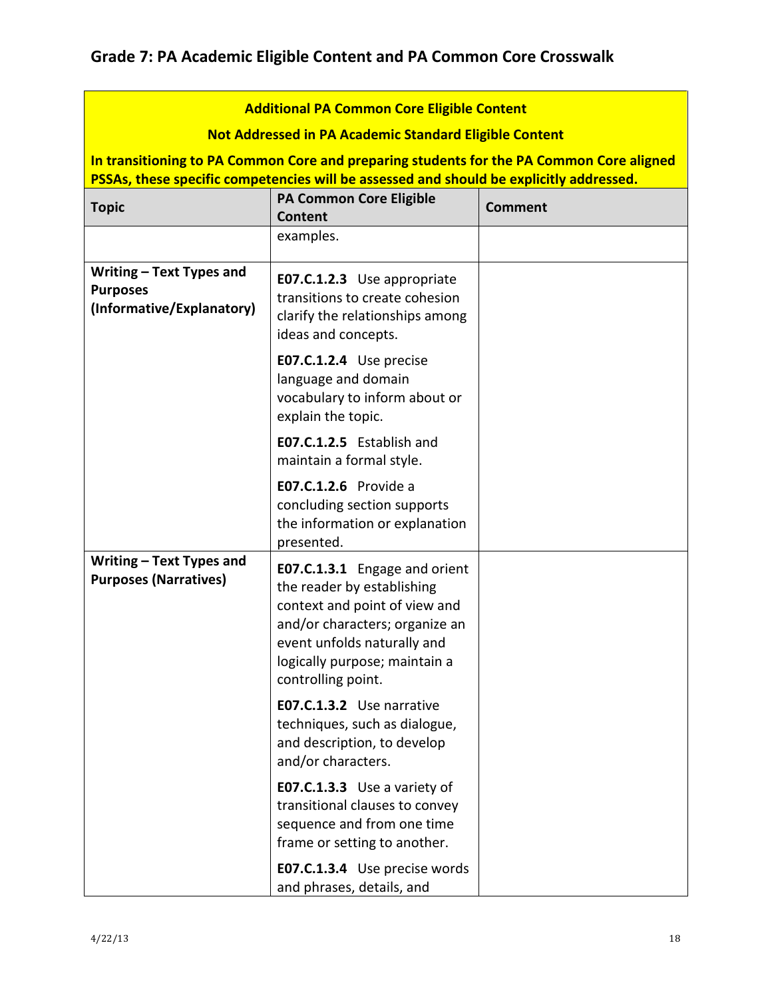| <b>Additional PA Common Core Eligible Content</b>                                        |                                                                                                                                                                                                                                                                                    |                |
|------------------------------------------------------------------------------------------|------------------------------------------------------------------------------------------------------------------------------------------------------------------------------------------------------------------------------------------------------------------------------------|----------------|
| <b>Not Addressed in PA Academic Standard Eligible Content</b>                            |                                                                                                                                                                                                                                                                                    |                |
| In transitioning to PA Common Core and preparing students for the PA Common Core aligned |                                                                                                                                                                                                                                                                                    |                |
|                                                                                          | PSSAs, these specific competencies will be assessed and should be explicitly addressed.                                                                                                                                                                                            |                |
| <b>Topic</b>                                                                             | <b>PA Common Core Eligible</b><br><b>Content</b>                                                                                                                                                                                                                                   | <b>Comment</b> |
|                                                                                          | examples.                                                                                                                                                                                                                                                                          |                |
| Writing - Text Types and<br><b>Purposes</b><br>(Informative/Explanatory)                 | E07.C.1.2.3 Use appropriate<br>transitions to create cohesion<br>clarify the relationships among<br>ideas and concepts.                                                                                                                                                            |                |
|                                                                                          | E07.C.1.2.4 Use precise<br>language and domain<br>vocabulary to inform about or<br>explain the topic.                                                                                                                                                                              |                |
|                                                                                          | E07.C.1.2.5 Establish and<br>maintain a formal style.                                                                                                                                                                                                                              |                |
|                                                                                          | <b>E07.C.1.2.6</b> Provide a<br>concluding section supports<br>the information or explanation<br>presented.                                                                                                                                                                        |                |
| Writing - Text Types and<br><b>Purposes (Narratives)</b>                                 | E07.C.1.3.1 Engage and orient<br>the reader by establishing<br>context and point of view and<br>and/or characters; organize an<br>event unfolds naturally and<br>logically purpose; maintain a<br>controlling point.<br>E07.C.1.3.2 Use narrative<br>techniques, such as dialogue, |                |
|                                                                                          | and description, to develop<br>and/or characters.                                                                                                                                                                                                                                  |                |
|                                                                                          | E07.C.1.3.3 Use a variety of<br>transitional clauses to convey<br>sequence and from one time<br>frame or setting to another.                                                                                                                                                       |                |
|                                                                                          | E07.C.1.3.4 Use precise words<br>and phrases, details, and                                                                                                                                                                                                                         |                |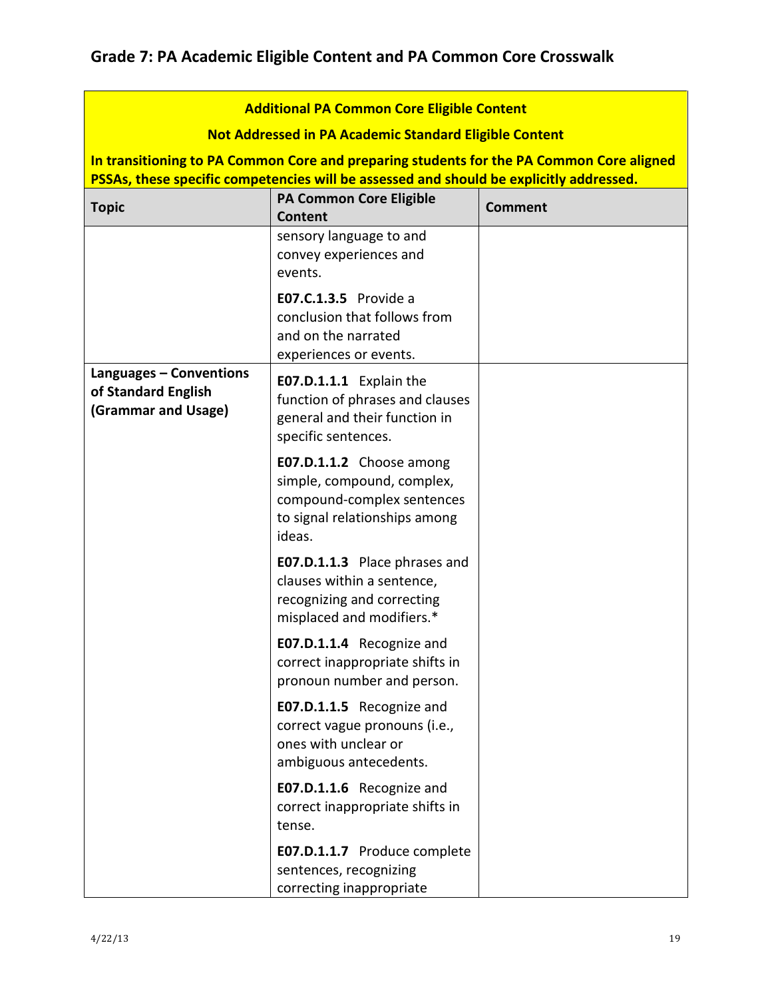| <b>Additional PA Common Core Eligible Content</b>                     |                                                                                                                                 |                |
|-----------------------------------------------------------------------|---------------------------------------------------------------------------------------------------------------------------------|----------------|
| <b>Not Addressed in PA Academic Standard Eligible Content</b>         |                                                                                                                                 |                |
|                                                                       | In transitioning to PA Common Core and preparing students for the PA Common Core aligned                                        |                |
|                                                                       | PSSAs, these specific competencies will be assessed and should be explicitly addressed.                                         |                |
| <b>Topic</b>                                                          | <b>PA Common Core Eligible</b><br><b>Content</b>                                                                                | <b>Comment</b> |
|                                                                       | sensory language to and<br>convey experiences and<br>events.                                                                    |                |
|                                                                       | <b>E07.C.1.3.5</b> Provide a<br>conclusion that follows from<br>and on the narrated<br>experiences or events.                   |                |
| Languages - Conventions<br>of Standard English<br>(Grammar and Usage) | E07.D.1.1.1 Explain the<br>function of phrases and clauses<br>general and their function in<br>specific sentences.              |                |
|                                                                       | E07.D.1.1.2 Choose among<br>simple, compound, complex,<br>compound-complex sentences<br>to signal relationships among<br>ideas. |                |
|                                                                       | <b>E07.D.1.1.3</b> Place phrases and<br>clauses within a sentence,<br>recognizing and correcting<br>misplaced and modifiers.*   |                |
|                                                                       | E07.D.1.1.4 Recognize and<br>correct inappropriate shifts in<br>pronoun number and person.                                      |                |
|                                                                       | E07.D.1.1.5 Recognize and<br>correct vague pronouns (i.e.,<br>ones with unclear or<br>ambiguous antecedents.                    |                |
|                                                                       | E07.D.1.1.6 Recognize and<br>correct inappropriate shifts in<br>tense.                                                          |                |
|                                                                       | E07.D.1.1.7 Produce complete<br>sentences, recognizing<br>correcting inappropriate                                              |                |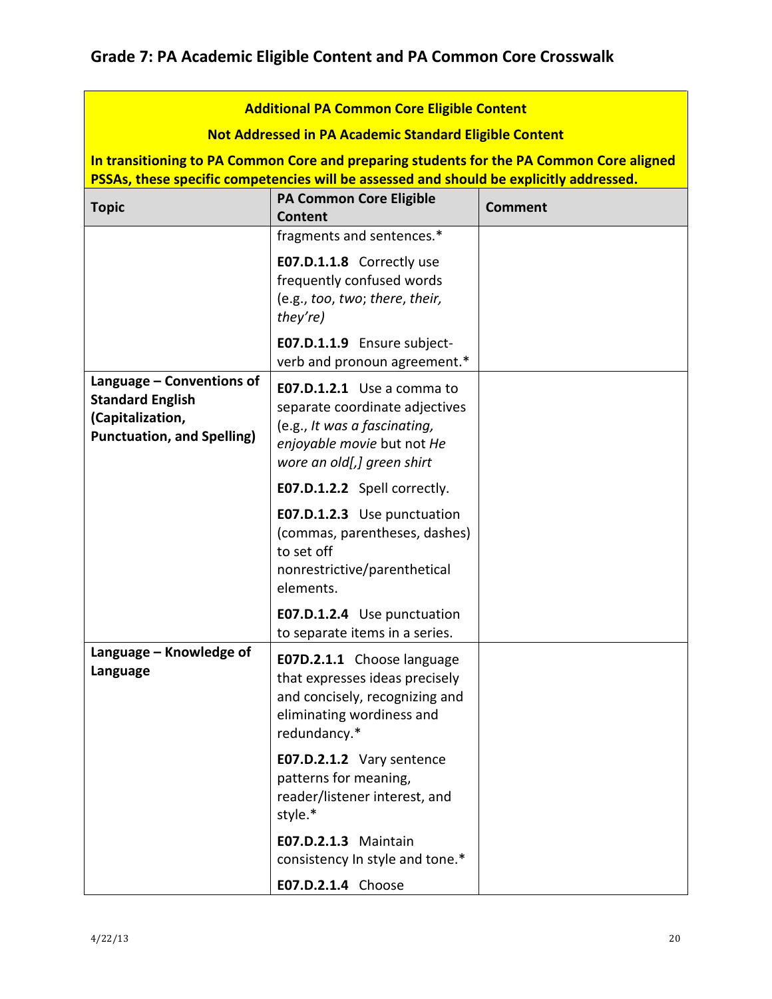| <b>Additional PA Common Core Eligible Content</b>                                                             |                                                                                                                                                          |                |
|---------------------------------------------------------------------------------------------------------------|----------------------------------------------------------------------------------------------------------------------------------------------------------|----------------|
| <b>Not Addressed in PA Academic Standard Eligible Content</b>                                                 |                                                                                                                                                          |                |
| In transitioning to PA Common Core and preparing students for the PA Common Core aligned                      |                                                                                                                                                          |                |
|                                                                                                               | PSSAs, these specific competencies will be assessed and should be explicitly addressed.                                                                  |                |
| <b>Topic</b>                                                                                                  | <b>PA Common Core Eligible</b><br>Content                                                                                                                | <b>Comment</b> |
|                                                                                                               | fragments and sentences.*                                                                                                                                |                |
|                                                                                                               | E07.D.1.1.8 Correctly use<br>frequently confused words<br>(e.g., too, two; there, their,<br>they're)                                                     |                |
|                                                                                                               | E07.D.1.1.9 Ensure subject-<br>verb and pronoun agreement.*                                                                                              |                |
| Language – Conventions of<br><b>Standard English</b><br>(Capitalization,<br><b>Punctuation, and Spelling)</b> | E07.D.1.2.1 Use a comma to<br>separate coordinate adjectives<br>(e.g., It was a fascinating,<br>enjoyable movie but not He<br>wore an old[,] green shirt |                |
|                                                                                                               | E07.D.1.2.2 Spell correctly.                                                                                                                             |                |
|                                                                                                               | E07.D.1.2.3 Use punctuation<br>(commas, parentheses, dashes)<br>to set off<br>nonrestrictive/parenthetical<br>elements.                                  |                |
|                                                                                                               | E07.D.1.2.4 Use punctuation<br>to separate items in a series.                                                                                            |                |
| Language - Knowledge of<br>Language                                                                           | E07D.2.1.1 Choose language<br>that expresses ideas precisely<br>and concisely, recognizing and<br>eliminating wordiness and<br>redundancy.*              |                |
|                                                                                                               | E07.D.2.1.2 Vary sentence<br>patterns for meaning,<br>reader/listener interest, and<br>style.*                                                           |                |
|                                                                                                               | <b>E07.D.2.1.3 Maintain</b><br>consistency In style and tone.*                                                                                           |                |
|                                                                                                               | E07.D.2.1.4 Choose                                                                                                                                       |                |